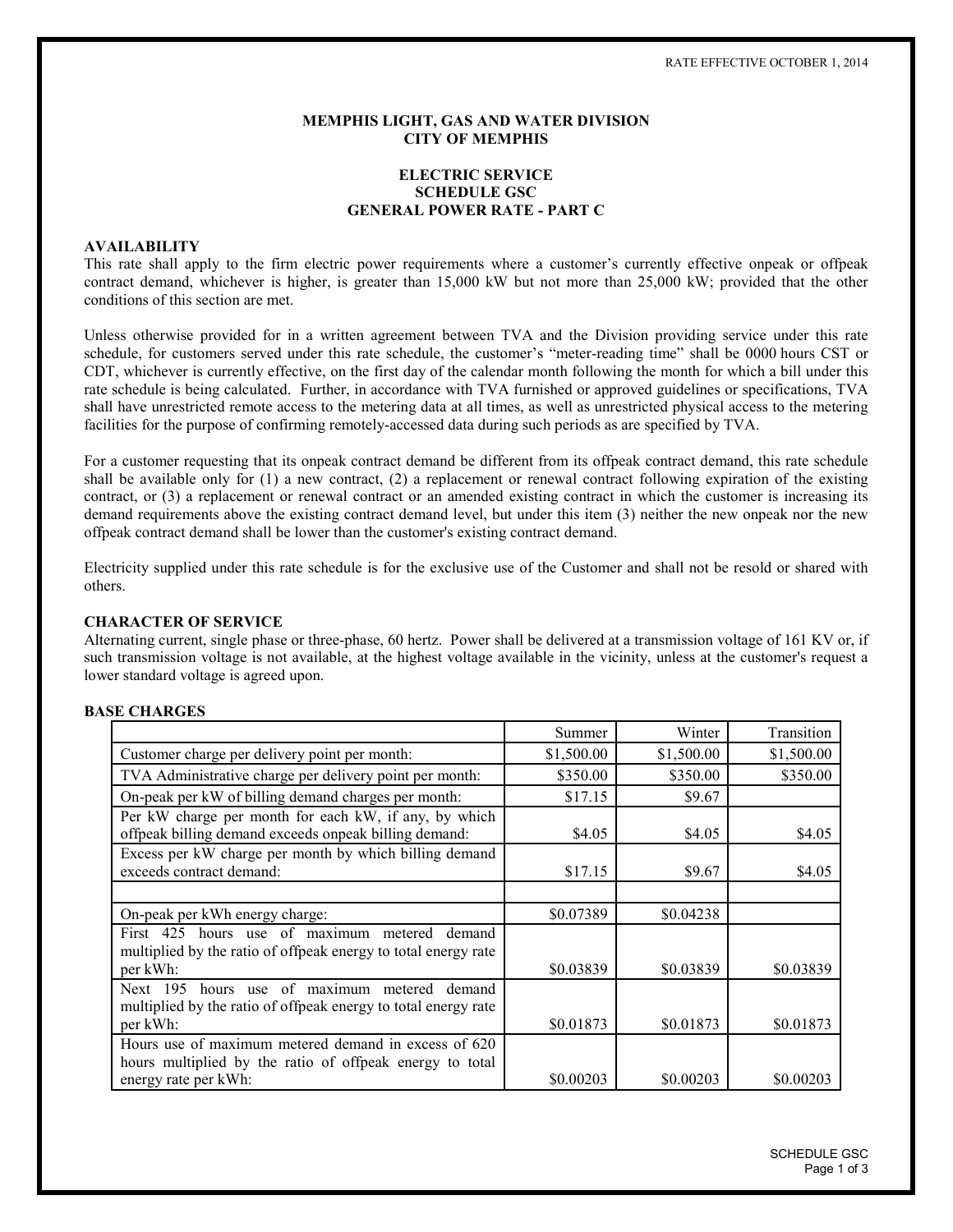#### **MEMPHIS LIGHT, GAS AND WATER DIVISION CITY OF MEMPHIS**

# **ELECTRIC SERVICE SCHEDULE GSC GENERAL POWER RATE - PART C**

# **AVAILABILITY**

This rate shall apply to the firm electric power requirements where a customer's currently effective onpeak or offpeak contract demand, whichever is higher, is greater than 15,000 kW but not more than 25,000 kW; provided that the other conditions of this section are met.

Unless otherwise provided for in a written agreement between TVA and the Division providing service under this rate schedule, for customers served under this rate schedule, the customer's "meter-reading time" shall be 0000 hours CST or CDT, whichever is currently effective, on the first day of the calendar month following the month for which a bill under this rate schedule is being calculated. Further, in accordance with TVA furnished or approved guidelines or specifications, TVA shall have unrestricted remote access to the metering data at all times, as well as unrestricted physical access to the metering facilities for the purpose of confirming remotely-accessed data during such periods as are specified by TVA.

For a customer requesting that its onpeak contract demand be different from its offpeak contract demand, this rate schedule shall be available only for (1) a new contract, (2) a replacement or renewal contract following expiration of the existing contract, or (3) a replacement or renewal contract or an amended existing contract in which the customer is increasing its demand requirements above the existing contract demand level, but under this item (3) neither the new onpeak nor the new offpeak contract demand shall be lower than the customer's existing contract demand.

Electricity supplied under this rate schedule is for the exclusive use of the Customer and shall not be resold or shared with others.

#### **CHARACTER OF SERVICE**

Alternating current, single phase or three-phase, 60 hertz. Power shall be delivered at a transmission voltage of 161 KV or, if such transmission voltage is not available, at the highest voltage available in the vicinity, unless at the customer's request a lower standard voltage is agreed upon.

## **BASE CHARGES**

|                                                                                                                                | Summer     | Winter     | Transition |
|--------------------------------------------------------------------------------------------------------------------------------|------------|------------|------------|
| Customer charge per delivery point per month:                                                                                  | \$1,500.00 | \$1,500.00 | \$1,500.00 |
| TVA Administrative charge per delivery point per month:                                                                        | \$350.00   | \$350.00   | \$350.00   |
| On-peak per kW of billing demand charges per month:                                                                            | \$17.15    | \$9.67     |            |
| Per kW charge per month for each kW, if any, by which<br>offpeak billing demand exceeds onpeak billing demand:                 | \$4.05     | \$4.05     | \$4.05     |
| Excess per kW charge per month by which billing demand<br>exceeds contract demand:                                             | \$17.15    | \$9.67     | \$4.05     |
|                                                                                                                                |            |            |            |
| On-peak per kWh energy charge:                                                                                                 | \$0.07389  | \$0.04238  |            |
| First 425 hours use of maximum metered<br>demand<br>multiplied by the ratio of offpeak energy to total energy rate<br>per kWh: | \$0.03839  | \$0.03839  | \$0.03839  |
| Next 195 hours use of maximum metered<br>demand                                                                                |            |            |            |
| multiplied by the ratio of offpeak energy to total energy rate<br>per kWh:                                                     | \$0.01873  | \$0.01873  | \$0.01873  |
| Hours use of maximum metered demand in excess of 620<br>hours multiplied by the ratio of offpeak energy to total               |            |            |            |
| energy rate per kWh:                                                                                                           | \$0.00203  | \$0.00203  | \$0.00203  |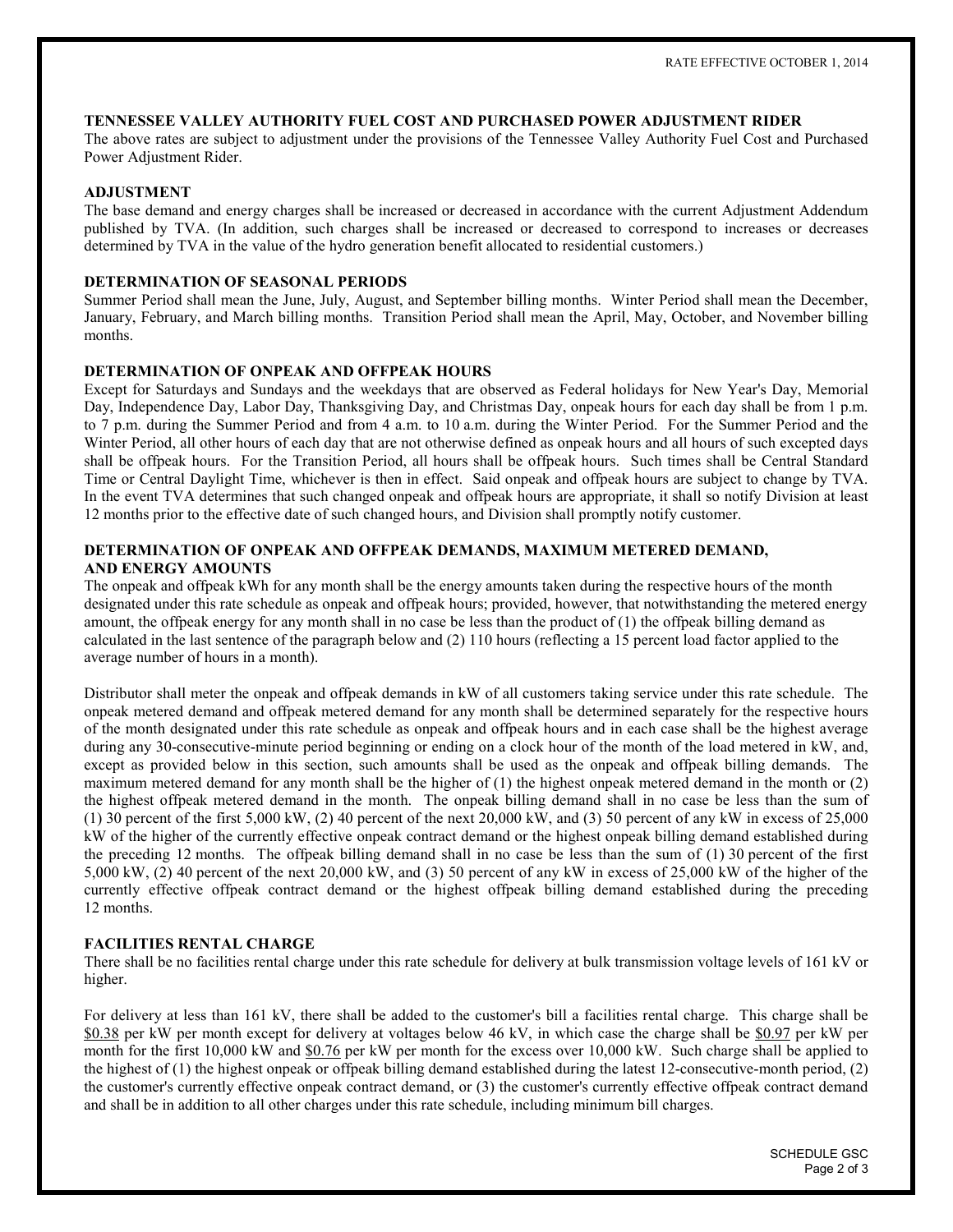## TENNESSEE VALLEY AUTHORITY FUEL COST AND PURCHASED POWER ADJUSTMENT RIDER

The above rates are subject to adjustment under the provisions of the Tennessee Valley Authority Fuel Cost and Purchased Power Adjustment Rider.

## **ADJUSTMENT**

The base demand and energy charges shall be increased or decreased in accordance with the current Adjustment Addendum published by TVA. (In addition, such charges shall be increased or decreased to correspond to increases or decreases determined by TVA in the value of the hydro generation benefit allocated to residential customers.)

## DETERMINATION OF SEASONAL PERIODS

Summer Period shall mean the June, July, August, and September billing months. Winter Period shall mean the December, January, February, and March billing months. Transition Period shall mean the April, May, October, and November billing months.

### DETERMINATION OF ONPEAK AND OFFPEAK HOURS

Except for Saturdays and Sundays and the weekdays that are observed as Federal holidays for New Year's Day, Memorial Day, Independence Day, Labor Day, Thanksgiving Day, and Christmas Day, onpeak hours for each day shall be from 1 p.m. to 7 p.m. during the Summer Period and from 4 a.m. to 10 a.m. during the Winter Period. For the Summer Period and the Winter Period, all other hours of each day that are not otherwise defined as onpeak hours and all hours of such excepted days shall be offpeak hours. For the Transition Period, all hours shall be offpeak hours. Such times shall be Central Standard Time or Central Daylight Time, whichever is then in effect. Said onpeak and offpeak hours are subject to change by TVA. In the event TVA determines that such changed onpeak and offpeak hours are appropriate, it shall so notify Division at least 12 months prior to the effective date of such changed hours, and Division shall promptly notify customer.

# DETERMINATION OF ONPEAK AND OFFPEAK DEMANDS, MAXIMUM METERED DEMAND. **AND ENERGY AMOUNTS**

The onpeak and offpeak kWh for any month shall be the energy amounts taken during the respective hours of the month designated under this rate schedule as onpeak and offpeak hours; provided, however, that notwithstanding the metered energy amount, the offpeak energy for any month shall in no case be less than the product of  $(1)$  the offpeak billing demand as calculated in the last sentence of the paragraph below and (2) 110 hours (reflecting a 15 percent load factor applied to the average number of hours in a month).

Distributor shall meter the onpeak and offpeak demands in kW of all customers taking service under this rate schedule. The onpeak metered demand and offpeak metered demand for any month shall be determined separately for the respective hours of the month designated under this rate schedule as onpeak and offpeak hours and in each case shall be the highest average during any 30-consecutive-minute period beginning or ending on a clock hour of the month of the load metered in kW, and, except as provided below in this section, such amounts shall be used as the onpeak and offpeak billing demands. The maximum metered demand for any month shall be the higher of  $(1)$  the highest onpeak metered demand in the month or  $(2)$ the highest offpeak metered demand in the month. The onpeak billing demand shall in no case be less than the sum of (1) 30 percent of the first 5,000 kW, (2) 40 percent of the next 20,000 kW, and (3) 50 percent of any kW in excess of 25,000 kW of the higher of the currently effective onpeak contract demand or the highest onpeak billing demand established during the preceding 12 months. The offpeak billing demand shall in no case be less than the sum of  $(1)$  30 percent of the first 5,000 kW, (2) 40 percent of the next 20,000 kW, and (3) 50 percent of any kW in excess of 25,000 kW of the higher of the currently effective offpeak contract demand or the highest offpeak billing demand established during the preceding 12 months.

# **FACILITIES RENTAL CHARGE**

There shall be no facilities rental charge under this rate schedule for delivery at bulk transmission voltage levels of 161 kV or higher.

For delivery at less than 161 kV, there shall be added to the customer's bill a facilities rental charge. This charge shall be \$0.38 per kW per month except for delivery at voltages below 46 kV, in which case the charge shall be \$0.97 per kW per month for the first 10,000 kW and \$0.76 per kW per month for the excess over 10,000 kW. Such charge shall be applied to the highest of (1) the highest onpeak or offpeak billing demand established during the latest 12-consecutive-month period, (2) the customer's currently effective onpeak contract demand, or (3) the customer's currently effective offpeak contract demand and shall be in addition to all other charges under this rate schedule, including minimum bill charges.